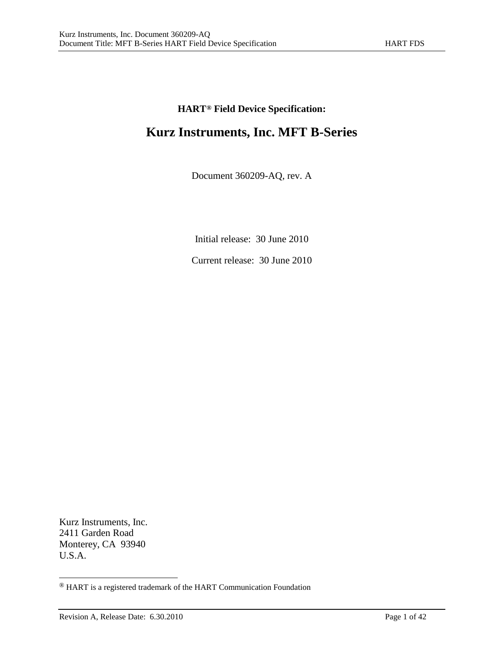## **HART[®](#page-0-0) Field Device Specification:**

# **Kurz Instruments, Inc. MFT B-Series**

Document 360209-AQ, rev. A

Initial release: 30 June 2010

Current release: 30 June 2010

Kurz Instruments, Inc. 2411 Garden Road Monterey, CA 93940 U.S.A.

<span id="page-0-0"></span> <sup>®</sup> HART is a registered trademark of the HART Communication Foundation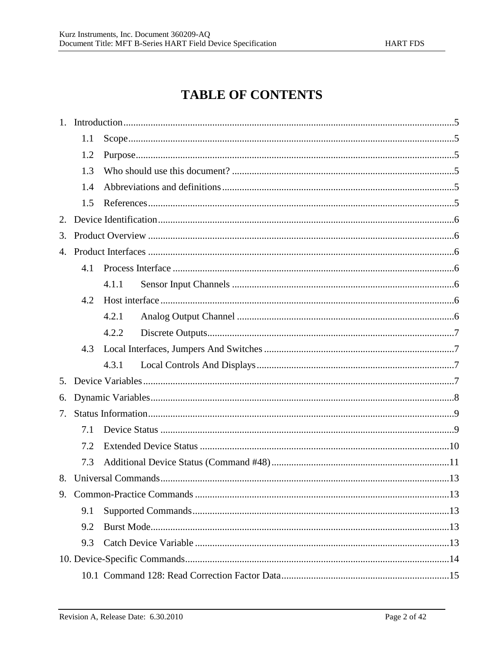# **TABLE OF CONTENTS**

| 1. |     |       |  |  |  |
|----|-----|-------|--|--|--|
|    | 1.1 |       |  |  |  |
|    | 1.2 |       |  |  |  |
|    | 1.3 |       |  |  |  |
|    | 1.4 |       |  |  |  |
|    | 1.5 |       |  |  |  |
| 2. |     |       |  |  |  |
| 3. |     |       |  |  |  |
| 4. |     |       |  |  |  |
|    | 4.1 |       |  |  |  |
|    |     | 4.1.1 |  |  |  |
|    | 4.2 |       |  |  |  |
|    |     | 4.2.1 |  |  |  |
|    |     | 4.2.2 |  |  |  |
|    | 4.3 |       |  |  |  |
|    |     | 4.3.1 |  |  |  |
| 5. |     |       |  |  |  |
| 6. |     |       |  |  |  |
| 7. |     |       |  |  |  |
|    | 7.1 |       |  |  |  |
|    | 7.2 |       |  |  |  |
|    | 7.3 |       |  |  |  |
| 8. |     |       |  |  |  |
|    |     |       |  |  |  |
|    | 9.1 |       |  |  |  |
|    | 9.2 |       |  |  |  |
|    | 9.3 |       |  |  |  |
|    |     |       |  |  |  |
|    |     |       |  |  |  |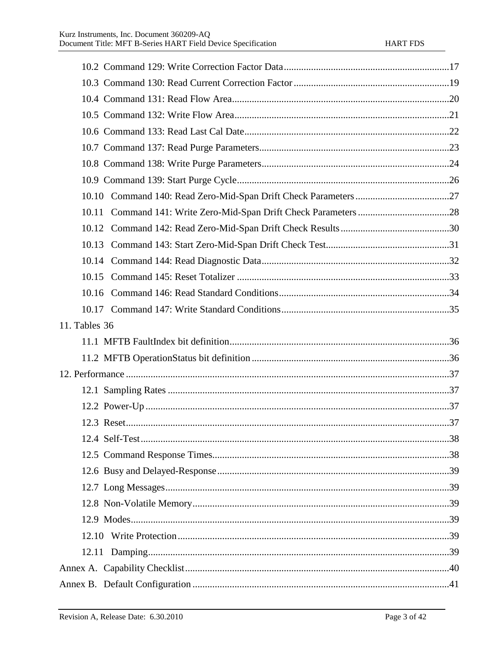| 10.11         |  |
|---------------|--|
|               |  |
|               |  |
|               |  |
|               |  |
|               |  |
|               |  |
| 11. Tables 36 |  |
|               |  |
|               |  |
|               |  |
|               |  |
|               |  |
|               |  |
|               |  |
|               |  |
|               |  |
|               |  |
|               |  |
|               |  |
|               |  |
|               |  |
|               |  |
|               |  |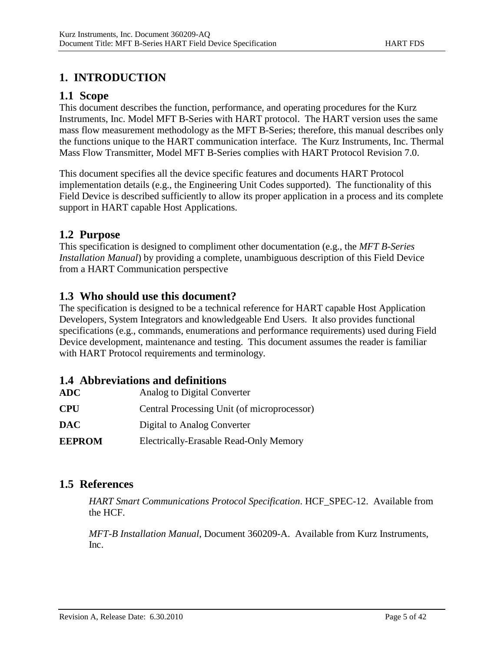# **1. INTRODUCTION**

## **1.1 Scope**

This document describes the function, performance, and operating procedures for the Kurz Instruments, Inc. Model MFT B-Series with HART protocol. The HART version uses the same mass flow measurement methodology as the MFT B-Series; therefore, this manual describes only the functions unique to the HART communication interface. The Kurz Instruments, Inc. Thermal Mass Flow Transmitter, Model MFT B-Series complies with HART Protocol Revision 7.0.

This document specifies all the device specific features and documents HART Protocol implementation details (e.g., the Engineering Unit Codes supported). The functionality of this Field Device is described sufficiently to allow its proper application in a process and its complete support in HART capable Host Applications.

## **1.2 Purpose**

This specification is designed to compliment other documentation (e.g., the *MFT B-Series Installation Manual*) by providing a complete, unambiguous description of this Field Device from a HART Communication perspective

## **1.3 Who should use this document?**

The specification is designed to be a technical reference for HART capable Host Application Developers, System Integrators and knowledgeable End Users. It also provides functional specifications (e.g., commands, enumerations and performance requirements) used during Field Device development, maintenance and testing. This document assumes the reader is familiar with HART Protocol requirements and terminology.

### **1.4 Abbreviations and definitions**

| <b>EEPROM</b> | <b>Electrically-Erasable Read-Only Memory</b> |
|---------------|-----------------------------------------------|
| <b>DAC</b>    | Digital to Analog Converter                   |
| <b>CPU</b>    | Central Processing Unit (of microprocessor)   |
| <b>ADC</b>    | Analog to Digital Converter                   |

## **1.5 References**

*HART Smart Communications Protocol Specification*. HCF\_SPEC-12. Available from the HCF.

*MFT-B Installation Manual*, Document 360209-A. Available from Kurz Instruments, Inc.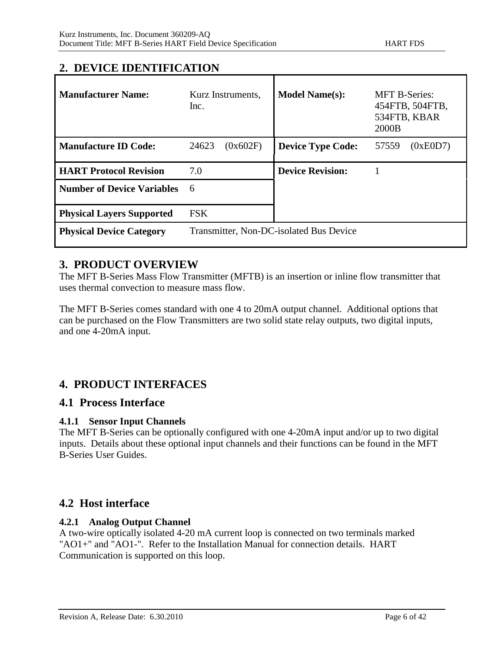## **2. DEVICE IDENTIFICATION**

| <b>Manufacturer Name:</b>         | Kurz Instruments,<br>Inc.               | <b>Model Name(s):</b>    | <b>MFT B-Series:</b><br>454FTB, 504FTB,<br>534FTB, KBAR<br>2000B |
|-----------------------------------|-----------------------------------------|--------------------------|------------------------------------------------------------------|
| <b>Manufacture ID Code:</b>       | 24623<br>(0x602F)                       | <b>Device Type Code:</b> | 57559<br>(0xE0D7)                                                |
| <b>HART Protocol Revision</b>     | 7.0                                     | <b>Device Revision:</b>  |                                                                  |
| <b>Number of Device Variables</b> | 6                                       |                          |                                                                  |
| <b>Physical Layers Supported</b>  | <b>FSK</b>                              |                          |                                                                  |
| <b>Physical Device Category</b>   | Transmitter, Non-DC-isolated Bus Device |                          |                                                                  |

## **3. PRODUCT OVERVIEW**

The MFT B-Series Mass Flow Transmitter (MFTB) is an insertion or inline flow transmitter that uses thermal convection to measure mass flow.

The MFT B-Series comes standard with one 4 to 20mA output channel. Additional options that can be purchased on the Flow Transmitters are two solid state relay outputs, two digital inputs, and one 4-20mA input.

## **4. PRODUCT INTERFACES**

### **4.1 Process Interface**

### **4.1.1 Sensor Input Channels**

The MFT B-Series can be optionally configured with one 4-20mA input and/or up to two digital inputs. Details about these optional input channels and their functions can be found in the MFT B-Series User Guides.

## **4.2 Host interface**

### **4.2.1 Analog Output Channel**

A two-wire optically isolated 4-20 mA current loop is connected on two terminals marked "AO1+" and "AO1-". Refer to the Installation Manual for connection details. HART Communication is supported on this loop.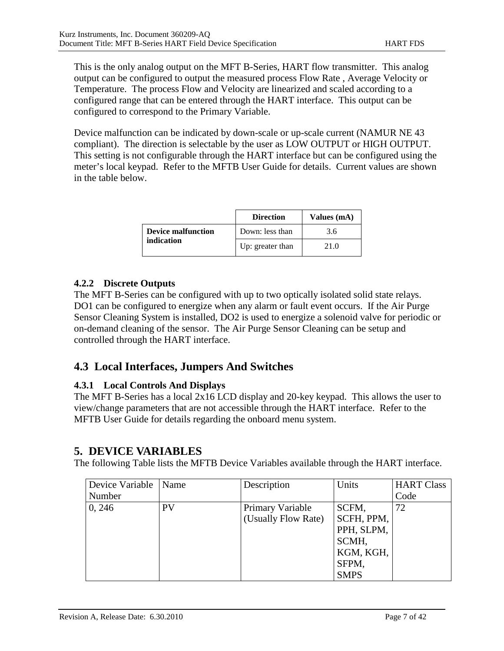This is the only analog output on the MFT B-Series, HART flow transmitter. This analog output can be configured to output the measured process Flow Rate , Average Velocity or Temperature. The process Flow and Velocity are linearized and scaled according to a configured range that can be entered through the HART interface. This output can be configured to correspond to the Primary Variable.

Device malfunction can be indicated by down-scale or up-scale current (NAMUR NE 43 compliant). The direction is selectable by the user as LOW OUTPUT or HIGH OUTPUT. This setting is not configurable through the HART interface but can be configured using the meter's local keypad. Refer to the MFTB User Guide for details. Current values are shown in the table below.

|                    | <b>Direction</b> | Values (mA) |
|--------------------|------------------|-------------|
| Device malfunction | Down: less than  | 3.6         |
| indication         | Up: greater than | 21.0        |

#### **4.2.2 Discrete Outputs**

The MFT B-Series can be configured with up to two optically isolated solid state relays. DO1 can be configured to energize when any alarm or fault event occurs. If the Air Purge Sensor Cleaning System is installed, DO2 is used to energize a solenoid valve for periodic or on-demand cleaning of the sensor. The Air Purge Sensor Cleaning can be setup and controlled through the HART interface.

## **4.3 Local Interfaces, Jumpers And Switches**

### **4.3.1 Local Controls And Displays**

The MFT B-Series has a local 2x16 LCD display and 20-key keypad. This allows the user to view/change parameters that are not accessible through the HART interface. Refer to the MFTB User Guide for details regarding the onboard menu system.

### **5. DEVICE VARIABLES**

The following Table lists the MFTB Device Variables available through the HART interface.

| Device Variable   Name |           | Description         | Units       | <b>HART Class</b> |
|------------------------|-----------|---------------------|-------------|-------------------|
| Number                 |           |                     |             | Code              |
| 0, 246                 | <b>PV</b> | Primary Variable    | SCFM,       | 72                |
|                        |           | (Usually Flow Rate) | SCFH, PPM,  |                   |
|                        |           |                     | PPH, SLPM,  |                   |
|                        |           |                     | SCMH,       |                   |
|                        |           |                     | KGM, KGH,   |                   |
|                        |           |                     | SFPM,       |                   |
|                        |           |                     | <b>SMPS</b> |                   |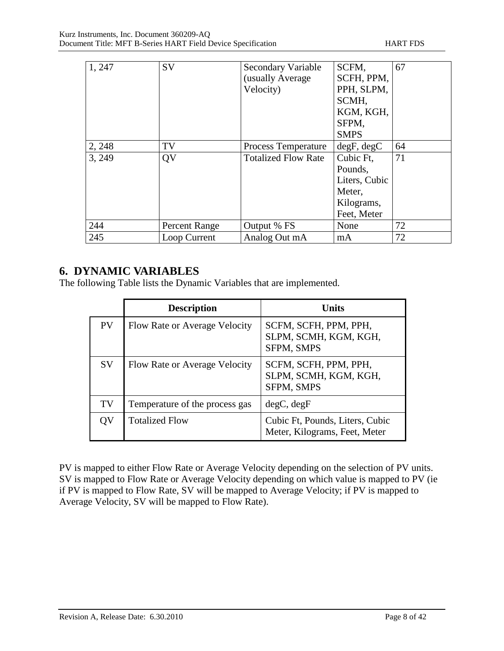| 1, 247 | SV            | Secondary Variable         | SCFM,         | 67 |
|--------|---------------|----------------------------|---------------|----|
|        |               | (usually Average           | SCFH, PPM,    |    |
|        |               | Velocity)                  | PPH, SLPM,    |    |
|        |               |                            | SCMH.         |    |
|        |               |                            | KGM, KGH,     |    |
|        |               |                            | SFPM,         |    |
|        |               |                            | <b>SMPS</b>   |    |
| 2, 248 | TV            | Process Temperature        | degF, degC    | 64 |
| 3, 249 | QV            | <b>Totalized Flow Rate</b> | Cubic Ft.     | 71 |
|        |               |                            | Pounds,       |    |
|        |               |                            | Liters, Cubic |    |
|        |               |                            | Meter,        |    |
|        |               |                            | Kilograms,    |    |
|        |               |                            | Feet, Meter   |    |
| 244    | Percent Range | Output % FS                | None          | 72 |
| 245    | Loop Current  | Analog Out mA              | mA            | 72 |

## **6. DYNAMIC VARIABLES**

The following Table lists the Dynamic Variables that are implemented.

|           | <b>Description</b>             | <b>Units</b>                                                     |
|-----------|--------------------------------|------------------------------------------------------------------|
| <b>PV</b> | Flow Rate or Average Velocity  | SCFM, SCFH, PPM, PPH,<br>SLPM, SCMH, KGM, KGH,<br>SFPM, SMPS     |
| <b>SV</b> | Flow Rate or Average Velocity  | SCFM, SCFH, PPM, PPH,<br>SLPM, SCMH, KGM, KGH,<br>SFPM, SMPS     |
| TV        | Temperature of the process gas | degC, degF                                                       |
| OV        | <b>Totalized Flow</b>          | Cubic Ft, Pounds, Liters, Cubic<br>Meter, Kilograms, Feet, Meter |

PV is mapped to either Flow Rate or Average Velocity depending on the selection of PV units. SV is mapped to Flow Rate or Average Velocity depending on which value is mapped to PV (ie if PV is mapped to Flow Rate, SV will be mapped to Average Velocity; if PV is mapped to Average Velocity, SV will be mapped to Flow Rate).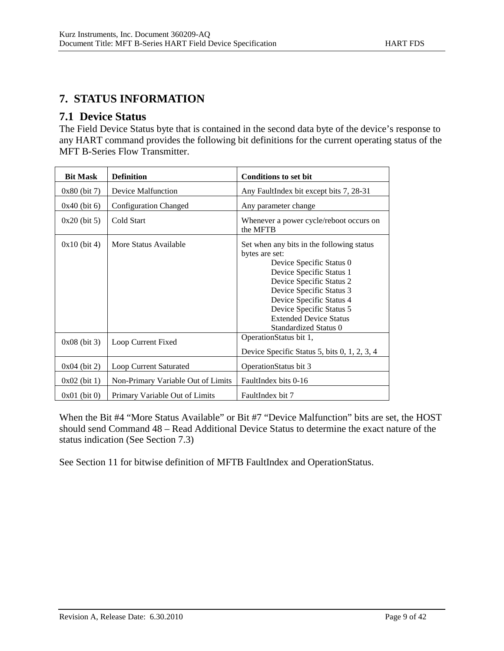# **7. STATUS INFORMATION**

## **7.1 Device Status**

The Field Device Status byte that is contained in the second data byte of the device's response to any HART command provides the following bit definitions for the current operating status of the MFT B-Series Flow Transmitter.

| <b>Bit Mask</b> | <b>Definition</b>                  | <b>Conditions to set bit</b>                                                                                                                                                                                                                                                                  |
|-----------------|------------------------------------|-----------------------------------------------------------------------------------------------------------------------------------------------------------------------------------------------------------------------------------------------------------------------------------------------|
| $0x80$ (bit 7)  | Device Malfunction                 | Any FaultIndex bit except bits 7, 28-31                                                                                                                                                                                                                                                       |
| $0x40$ (bit 6)  | <b>Configuration Changed</b>       | Any parameter change                                                                                                                                                                                                                                                                          |
| $0x20$ (bit 5)  | Cold Start                         | Whenever a power cycle/reboot occurs on<br>the MFTB                                                                                                                                                                                                                                           |
| $0x10$ (bit 4)  | More Status Available              | Set when any bits in the following status<br>bytes are set:<br>Device Specific Status 0<br>Device Specific Status 1<br>Device Specific Status 2<br>Device Specific Status 3<br>Device Specific Status 4<br>Device Specific Status 5<br><b>Extended Device Status</b><br>Standardized Status 0 |
| $0x08$ (bit 3)  | Loop Current Fixed                 | OperationStatus bit 1,<br>Device Specific Status 5, bits 0, 1, 2, 3, 4                                                                                                                                                                                                                        |
| $0x04$ (bit 2)  | Loop Current Saturated             | OperationStatus bit 3                                                                                                                                                                                                                                                                         |
| $0x02$ (bit 1)  | Non-Primary Variable Out of Limits | FaultIndex bits 0-16                                                                                                                                                                                                                                                                          |
| $0x01$ (bit 0)  | Primary Variable Out of Limits     | FaultIndex bit 7                                                                                                                                                                                                                                                                              |

When the Bit #4 "More Status Available" or Bit #7 "Device Malfunction" bits are set, the HOST should send Command 48 – Read Additional Device Status to determine the exact nature of the status indication (See Section 7.3)

See Section 11 for bitwise definition of MFTB FaultIndex and OperationStatus.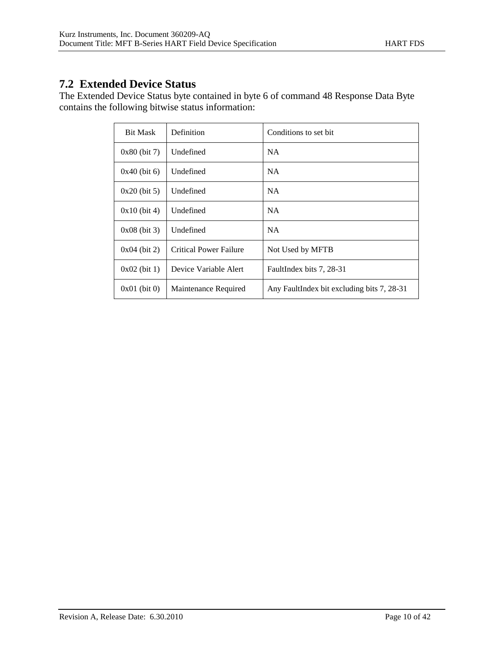# **7.2 Extended Device Status**

The Extended Device Status byte contained in byte 6 of command 48 Response Data Byte contains the following bitwise status information:

| <b>Bit Mask</b> | Definition                    | Conditions to set bit.                     |
|-----------------|-------------------------------|--------------------------------------------|
| $0x80$ (bit 7)  | Undefined                     | <b>NA</b>                                  |
| $0x40$ (bit 6)  | Undefined                     | <b>NA</b>                                  |
| $0x20$ (bit 5)  | Undefined                     | <b>NA</b>                                  |
| $0x10$ (bit 4)  | Undefined                     | <b>NA</b>                                  |
| $0x08$ (bit 3)  | <b>Undefined</b>              | NA.                                        |
| $0x04$ (bit 2)  | <b>Critical Power Failure</b> | Not Used by MFTB                           |
| $0x02$ (bit 1)  | Device Variable Alert         | FaultIndex bits 7, 28-31                   |
| $0x01$ (bit 0)  | Maintenance Required          | Any FaultIndex bit excluding bits 7, 28-31 |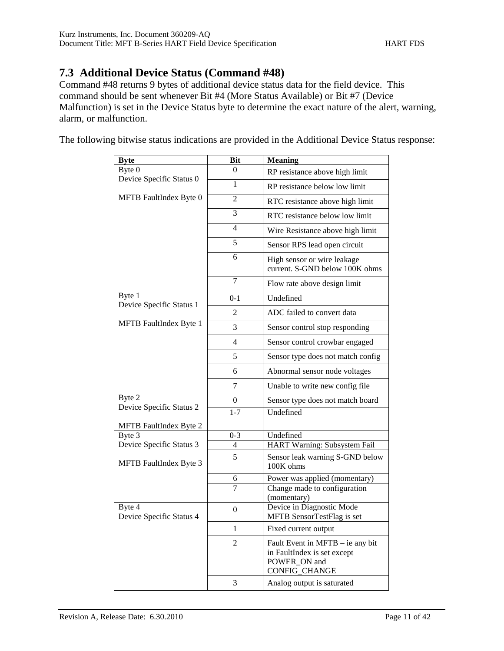## **7.3 Additional Device Status (Command #48)**

Command #48 returns 9 bytes of additional device status data for the field device. This command should be sent whenever Bit #4 (More Status Available) or Bit #7 (Device Malfunction) is set in the Device Status byte to determine the exact nature of the alert, warning, alarm, or malfunction.

The following bitwise status indications are provided in the Additional Device Status response:

| <b>Byte</b>                                     | <b>Bit</b>     | <b>Meaning</b>                                                                                   |
|-------------------------------------------------|----------------|--------------------------------------------------------------------------------------------------|
| Byte 0                                          | $\Omega$       | RP resistance above high limit                                                                   |
| Device Specific Status 0                        | 1              | RP resistance below low limit                                                                    |
| MFTB FaultIndex Byte 0                          | 2              | RTC resistance above high limit                                                                  |
|                                                 | 3              | RTC resistance below low limit                                                                   |
|                                                 | $\overline{4}$ | Wire Resistance above high limit                                                                 |
|                                                 | 5              | Sensor RPS lead open circuit                                                                     |
|                                                 | 6              | High sensor or wire leakage<br>current. S-GND below 100K ohms                                    |
|                                                 | $\overline{7}$ | Flow rate above design limit                                                                     |
| Byte 1                                          | $0 - 1$        | Undefined                                                                                        |
| Device Specific Status 1                        | 2              | ADC failed to convert data                                                                       |
| <b>MFTB</b> FaultIndex Byte 1                   | 3              | Sensor control stop responding                                                                   |
|                                                 | 4              | Sensor control crowbar engaged                                                                   |
|                                                 | 5              | Sensor type does not match config                                                                |
|                                                 | 6              | Abnormal sensor node voltages                                                                    |
|                                                 | 7              | Unable to write new config file                                                                  |
| Byte 2                                          | $\theta$       | Sensor type does not match board                                                                 |
| Device Specific Status 2                        | $1 - 7$        | Undefined                                                                                        |
| MFTB FaultIndex Byte 2                          |                |                                                                                                  |
| Byte 3                                          | $0 - 3$        | Undefined                                                                                        |
| Device Specific Status 3                        | $\overline{4}$ | HART Warning: Subsystem Fail                                                                     |
| MFTB FaultIndex Byte 3                          | 5              | Sensor leak warning S-GND below<br>100K ohms                                                     |
|                                                 | 6              | Power was applied (momentary)                                                                    |
|                                                 | $\overline{7}$ | Change made to configuration<br>(momentary)                                                      |
| Byte $\overline{4}$<br>Device Specific Status 4 | $\overline{0}$ | Device in Diagnostic Mode<br>MFTB SensorTestFlag is set                                          |
|                                                 | 1              | Fixed current output                                                                             |
|                                                 | $\overline{c}$ | Fault Event in MFTB – ie any bit<br>in FaultIndex is set except<br>POWER_ON and<br>CONFIG_CHANGE |
|                                                 | 3              | Analog output is saturated                                                                       |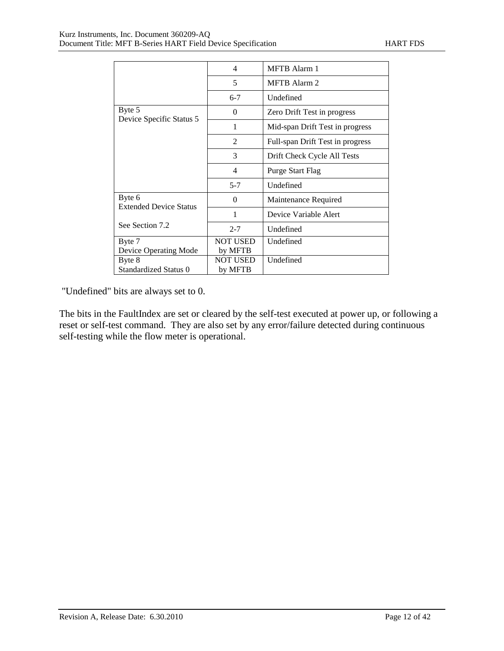|                                         | $\overline{4}$             | <b>MFTB</b> Alarm 1              |
|-----------------------------------------|----------------------------|----------------------------------|
|                                         | 5                          | <b>MFTB</b> Alarm 2              |
|                                         | $6-7$                      | Undefined                        |
| Byte 5                                  | $\Omega$                   | Zero Drift Test in progress      |
| Device Specific Status 5                | 1                          | Mid-span Drift Test in progress  |
|                                         | $\overline{2}$             | Full-span Drift Test in progress |
|                                         | 3                          | Drift Check Cycle All Tests      |
|                                         | 4                          | <b>Purge Start Flag</b>          |
|                                         | $5 - 7$                    | Undefined                        |
| Byte 6<br><b>Extended Device Status</b> | 0                          | Maintenance Required             |
|                                         | 1                          | Device Variable Alert            |
| See Section 7.2                         | $2 - 7$                    | Undefined                        |
| Byte 7<br>Device Operating Mode         | <b>NOT USED</b><br>by MFTB | Undefined                        |
| Byte 8<br>Standardized Status 0         | <b>NOT USED</b><br>by MFTB | Undefined                        |

"Undefined" bits are always set to 0.

The bits in the FaultIndex are set or cleared by the self-test executed at power up, or following a reset or self-test command. They are also set by any error/failure detected during continuous self-testing while the flow meter is operational.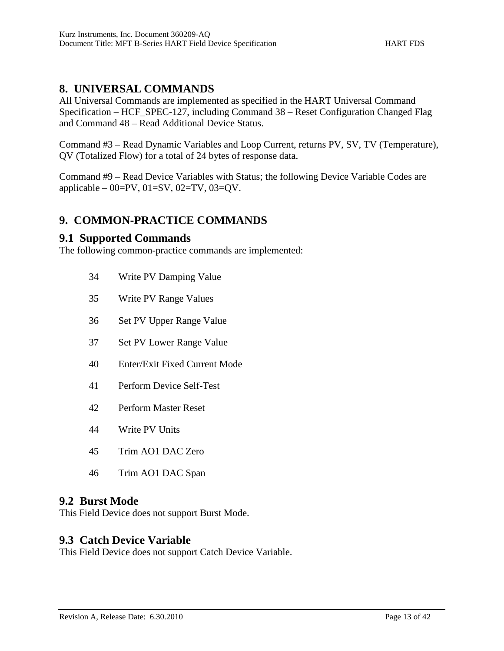All Universal Commands are implemented as specified in the HART Universal Command Specification – HCF\_SPEC-127, including Command 38 – Reset Configuration Changed Flag and Command 48 – Read Additional Device Status.

Command #3 – Read Dynamic Variables and Loop Current, returns PV, SV, TV (Temperature), QV (Totalized Flow) for a total of 24 bytes of response data.

Command #9 – Read Device Variables with Status; the following Device Variable Codes are applicable – 00=PV, 01=SV, 02=TV, 03=QV.

## **9. COMMON-PRACTICE COMMANDS**

### **9.1 Supported Commands**

The following common-practice commands are implemented:

- 34 Write PV Damping Value
- 35 Write PV Range Values
- 36 Set PV Upper Range Value
- 37 Set PV Lower Range Value
- 40 Enter/Exit Fixed Current Mode
- 41 Perform Device Self-Test
- 42 Perform Master Reset
- 44 Write PV Units
- 45 Trim AO1 DAC Zero
- 46 Trim AO1 DAC Span

### **9.2 Burst Mode**

This Field Device does not support Burst Mode.

### **9.3 Catch Device Variable**

This Field Device does not support Catch Device Variable.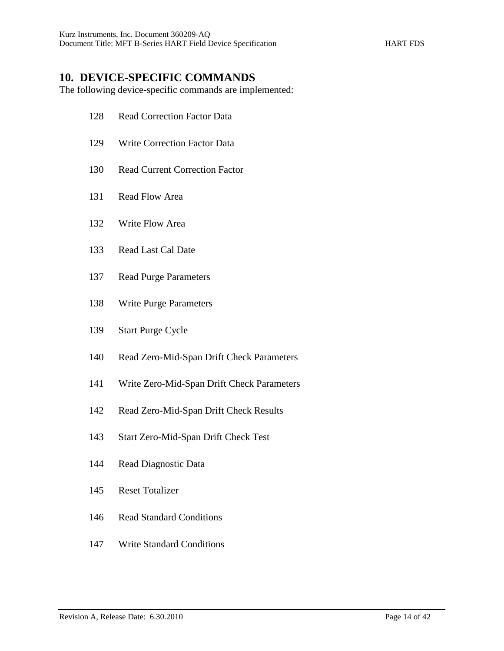## **10. DEVICE-SPECIFIC COMMANDS**

The following device-specific commands are implemented:

- Read Correction Factor Data
- Write Correction Factor Data
- Read Current Correction Factor
- Read Flow Area
- Write Flow Area
- Read Last Cal Date
- Read Purge Parameters
- Write Purge Parameters
- Start Purge Cycle
- Read Zero-Mid-Span Drift Check Parameters
- Write Zero-Mid-Span Drift Check Parameters
- Read Zero-Mid-Span Drift Check Results
- Start Zero-Mid-Span Drift Check Test
- Read Diagnostic Data
- Reset Totalizer
- Read Standard Conditions
- Write Standard Conditions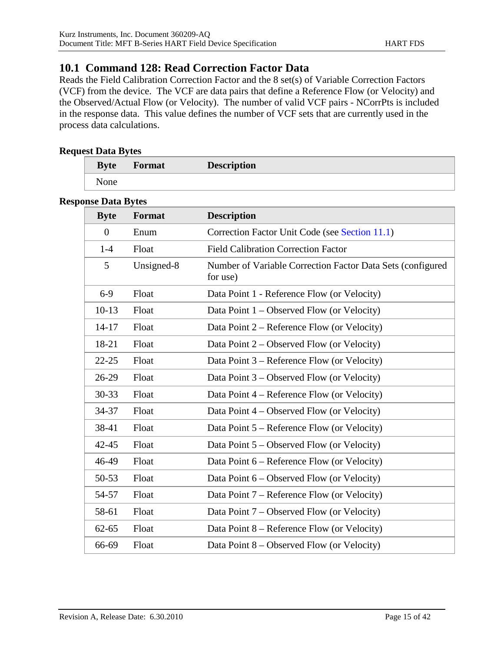## **10.1 Command 128: Read Correction Factor Data**

Reads the Field Calibration Correction Factor and the 8 set(s) of Variable Correction Factors (VCF) from the device. The VCF are data pairs that define a Reference Flow (or Velocity) and the Observed/Actual Flow (or Velocity). The number of valid VCF pairs - NCorrPts is included in the response data. This value defines the number of VCF sets that are currently used in the process data calculations.

#### **Request Data Bytes**

| <b>Byte</b> | <b>Format</b> | <b>Description</b> |
|-------------|---------------|--------------------|
| <b>None</b> |               |                    |

#### **Response Data Bytes**

| <b>Byte</b> | Format     | <b>Description</b>                                                     |
|-------------|------------|------------------------------------------------------------------------|
| $\theta$    | Enum       | Correction Factor Unit Code (see Section 11.1)                         |
| $1-4$       | Float      | <b>Field Calibration Correction Factor</b>                             |
| 5           | Unsigned-8 | Number of Variable Correction Factor Data Sets (configured<br>for use) |
| $6-9$       | Float      | Data Point 1 - Reference Flow (or Velocity)                            |
| $10-13$     | Float      | Data Point 1 – Observed Flow (or Velocity)                             |
| $14 - 17$   | Float      | Data Point 2 – Reference Flow (or Velocity)                            |
| 18-21       | Float      | Data Point $2$ – Observed Flow (or Velocity)                           |
| $22 - 25$   | Float      | Data Point 3 – Reference Flow (or Velocity)                            |
| 26-29       | Float      | Data Point 3 – Observed Flow (or Velocity)                             |
| 30-33       | Float      | Data Point 4 – Reference Flow (or Velocity)                            |
| 34-37       | Float      | Data Point $4$ – Observed Flow (or Velocity)                           |
| 38-41       | Float      | Data Point 5 – Reference Flow (or Velocity)                            |
| $42 - 45$   | Float      | Data Point 5 – Observed Flow (or Velocity)                             |
| 46-49       | Float      | Data Point 6 – Reference Flow (or Velocity)                            |
| 50-53       | Float      | Data Point $6$ – Observed Flow (or Velocity)                           |
| 54-57       | Float      | Data Point 7 – Reference Flow (or Velocity)                            |
| 58-61       | Float      | Data Point 7 – Observed Flow (or Velocity)                             |
| $62 - 65$   | Float      | Data Point 8 - Reference Flow (or Velocity)                            |
| 66-69       | Float      | Data Point $8$ – Observed Flow (or Velocity)                           |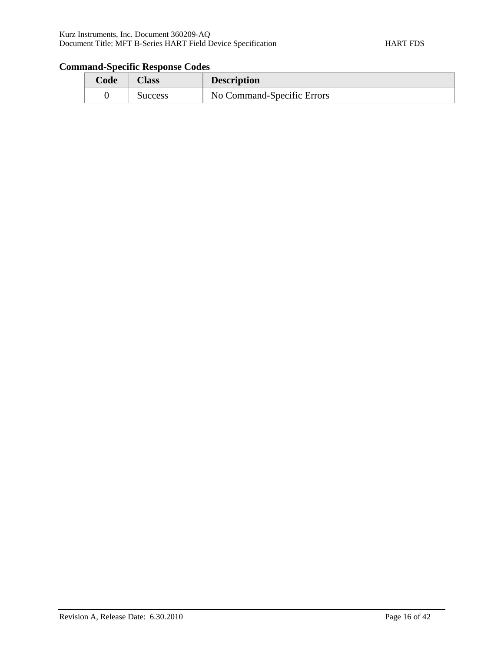| Code | Aass    | <b>Description</b>         |
|------|---------|----------------------------|
|      | Success | No Command-Specific Errors |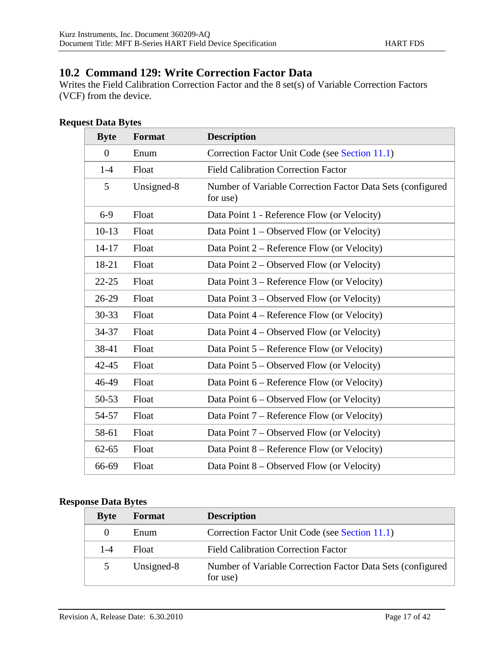## **10.2 Command 129: Write Correction Factor Data**

Writes the Field Calibration Correction Factor and the 8 set(s) of Variable Correction Factors (VCF) from the device.

#### **Request Data Bytes**

| <b>Byte</b>    | Format     | <b>Description</b>                                                     |
|----------------|------------|------------------------------------------------------------------------|
| $\overline{0}$ | Enum       | Correction Factor Unit Code (see Section 11.1)                         |
| $1 - 4$        | Float      | <b>Field Calibration Correction Factor</b>                             |
| 5              | Unsigned-8 | Number of Variable Correction Factor Data Sets (configured<br>for use) |
| $6-9$          | Float      | Data Point 1 - Reference Flow (or Velocity)                            |
| $10-13$        | Float      | Data Point $1 -$ Observed Flow (or Velocity)                           |
| $14 - 17$      | Float      | Data Point 2 – Reference Flow (or Velocity)                            |
| 18-21          | Float      | Data Point $2$ – Observed Flow (or Velocity)                           |
| $22 - 25$      | Float      | Data Point 3 – Reference Flow (or Velocity)                            |
| 26-29          | Float      | Data Point 3 – Observed Flow (or Velocity)                             |
| 30-33          | Float      | Data Point 4 – Reference Flow (or Velocity)                            |
| 34-37          | Float      | Data Point 4 – Observed Flow (or Velocity)                             |
| 38-41          | Float      | Data Point $5$ – Reference Flow (or Velocity)                          |
| $42 - 45$      | Float      | Data Point $5 -$ Observed Flow (or Velocity)                           |
| 46-49          | Float      | Data Point 6 – Reference Flow (or Velocity)                            |
| 50-53          | Float      | Data Point 6 – Observed Flow (or Velocity)                             |
| 54-57          | Float      | Data Point 7 – Reference Flow (or Velocity)                            |
| 58-61          | Float      | Data Point 7 – Observed Flow (or Velocity)                             |
| $62 - 65$      | Float      | Data Point 8 – Reference Flow (or Velocity)                            |
| 66-69          | Float      | Data Point $8$ – Observed Flow (or Velocity)                           |

#### **Response Data Bytes**

| <b>Byte</b> | Format     | <b>Description</b>                                                     |
|-------------|------------|------------------------------------------------------------------------|
| $\theta$    | Enum       | Correction Factor Unit Code (see Section 11.1)                         |
| $1 - 4$     | Float      | <b>Field Calibration Correction Factor</b>                             |
| 5           | Unsigned-8 | Number of Variable Correction Factor Data Sets (configured<br>for use) |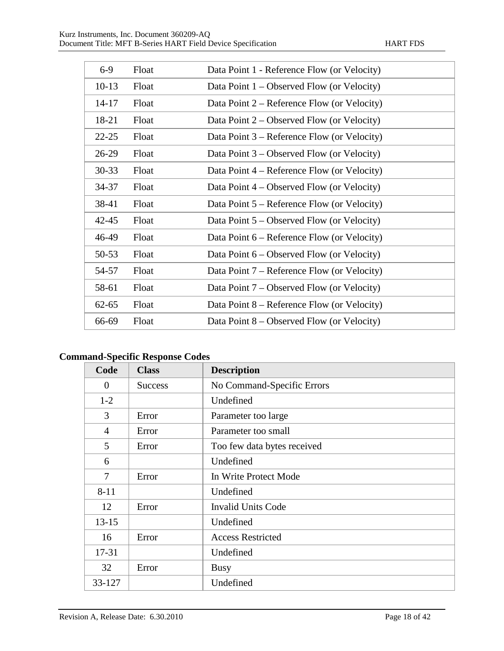| $6-9$     | Float | Data Point 1 - Reference Flow (or Velocity)   |
|-----------|-------|-----------------------------------------------|
| $10-13$   | Float | Data Point $1 -$ Observed Flow (or Velocity)  |
| $14 - 17$ | Float | Data Point 2 – Reference Flow (or Velocity)   |
| 18-21     | Float | Data Point $2$ – Observed Flow (or Velocity)  |
| $22 - 25$ | Float | Data Point 3 – Reference Flow (or Velocity)   |
| $26-29$   | Float | Data Point $3$ – Observed Flow (or Velocity)  |
| $30 - 33$ | Float | Data Point 4 – Reference Flow (or Velocity)   |
| 34-37     | Float | Data Point $4$ – Observed Flow (or Velocity)  |
| 38-41     | Float | Data Point 5 – Reference Flow (or Velocity)   |
| $42 - 45$ | Float | Data Point $5$ – Observed Flow (or Velocity)  |
| 46-49     | Float | Data Point 6 – Reference Flow (or Velocity)   |
| 50-53     | Float | Data Point $6$ – Observed Flow (or Velocity)  |
| 54-57     | Float | Data Point 7 – Reference Flow (or Velocity)   |
| 58-61     | Float | Data Point 7 – Observed Flow (or Velocity)    |
| $62 - 65$ | Float | Data Point $8$ – Reference Flow (or Velocity) |
| 66-69     | Float | Data Point $8$ – Observed Flow (or Velocity)  |

| Code           | <b>Class</b>   | <b>Description</b>          |
|----------------|----------------|-----------------------------|
| $\overline{0}$ | <b>Success</b> | No Command-Specific Errors  |
| $1-2$          |                | Undefined                   |
| 3              | Error          | Parameter too large         |
| $\overline{4}$ | Error          | Parameter too small         |
| 5              | Error          | Too few data bytes received |
| 6              |                | Undefined                   |
| 7              | Error          | In Write Protect Mode       |
| $8 - 11$       |                | Undefined                   |
| 12             | Error          | <b>Invalid Units Code</b>   |
| $13 - 15$      |                | Undefined                   |
| 16             | Error          | <b>Access Restricted</b>    |
| $17 - 31$      |                | Undefined                   |
| 32             | Error          | <b>Busy</b>                 |
| 33-127         |                | Undefined                   |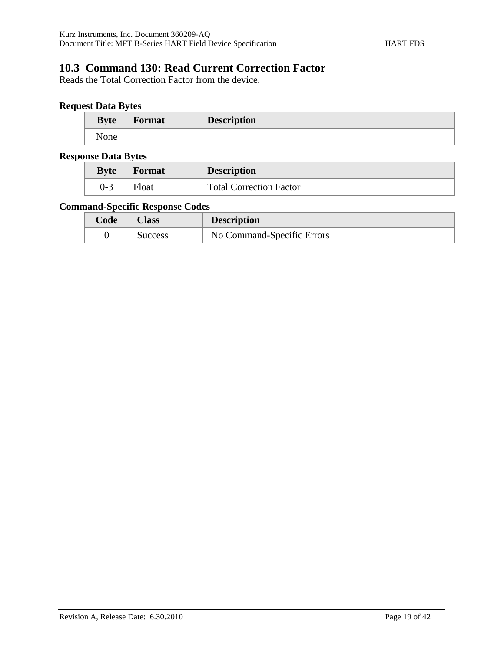## **10.3 Command 130: Read Current Correction Factor**

Reads the Total Correction Factor from the device.

### **Request Data Bytes**

| <b>Byte</b> | Format | <b>Description</b> |  |
|-------------|--------|--------------------|--|
| None        |        |                    |  |

#### **Response Data Bytes**

| <b>Byte</b> | <b>Format</b> | <b>Description</b>             |
|-------------|---------------|--------------------------------|
| $0-3$       | Float         | <b>Total Correction Factor</b> |

| Code | Class          | <b>Description</b>         |
|------|----------------|----------------------------|
|      | <b>Success</b> | No Command-Specific Errors |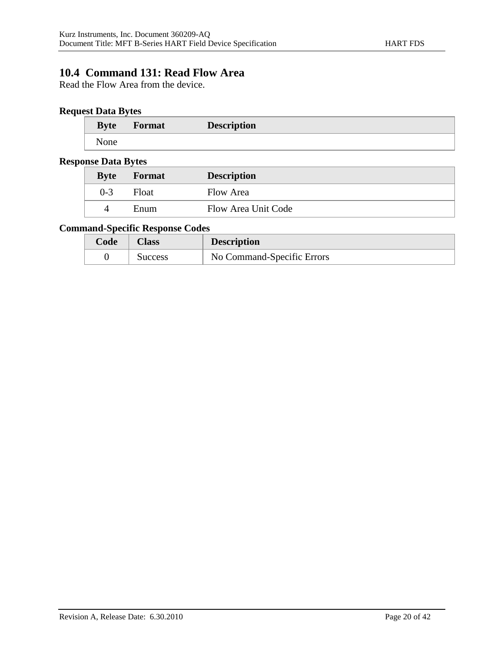## **10.4 Command 131: Read Flow Area**

Read the Flow Area from the device.

### **Request Data Bytes**

| <b>Byte</b> | Format | <b>Description</b> |
|-------------|--------|--------------------|
| None        |        |                    |

#### **Response Data Bytes**

|  | <b>Byte</b> | Format | <b>Description</b>  |  |
|--|-------------|--------|---------------------|--|
|  | 0-3         | Float  | Flow Area           |  |
|  | 4           | Enum   | Flow Area Unit Code |  |

| Code | Aass    | <b>Description</b>         |
|------|---------|----------------------------|
|      | Success | No Command-Specific Errors |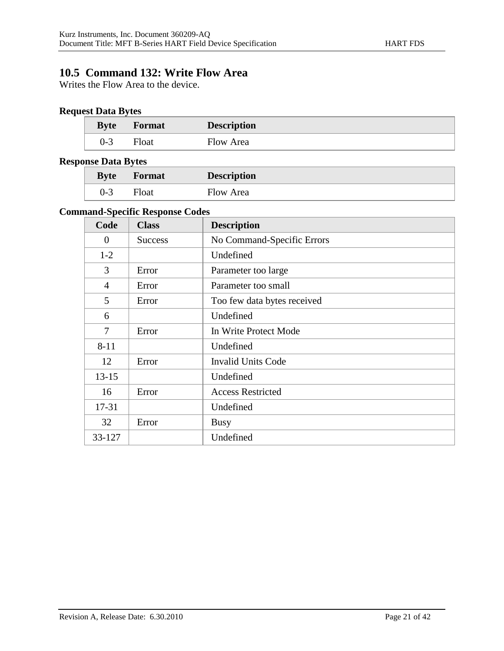## **10.5 Command 132: Write Flow Area**

Writes the Flow Area to the device.

## **Request Data Bytes**

| <b>Byte</b> | <b>Format</b> | <b>Description</b> |  |
|-------------|---------------|--------------------|--|
| $0 - 3$     | Float         | Flow Area          |  |

#### **Response Data Bytes**

| $\frac{1}{2}$<br><b>Byte</b> | <b>Format</b> | <b>Description</b> |
|------------------------------|---------------|--------------------|
| 0-3                          | Float         | Flow Area          |

| Code           | <b>Class</b>   | <b>Description</b>          |
|----------------|----------------|-----------------------------|
| $\theta$       | <b>Success</b> | No Command-Specific Errors  |
| $1 - 2$        |                | Undefined                   |
| 3              | Error          | Parameter too large         |
| $\overline{4}$ | Error          | Parameter too small         |
| 5              | Error          | Too few data bytes received |
| 6              |                | Undefined                   |
| 7              | Error          | In Write Protect Mode       |
| $8 - 11$       |                | Undefined                   |
| 12             | Error          | <b>Invalid Units Code</b>   |
| $13 - 15$      |                | Undefined                   |
| 16             | Error          | <b>Access Restricted</b>    |
| 17-31          |                | Undefined                   |
| 32             | Error          | <b>Busy</b>                 |
| 33-127         |                | Undefined                   |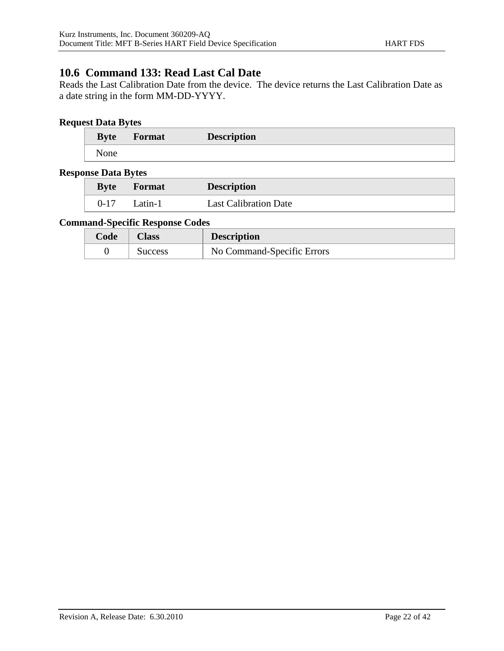## **10.6 Command 133: Read Last Cal Date**

Reads the Last Calibration Date from the device. The device returns the Last Calibration Date as a date string in the form MM-DD-YYYY.

### **Request Data Bytes**

| <b>Byte</b> | Format | <b>Description</b> |
|-------------|--------|--------------------|
| None        |        |                    |

#### **Response Data Bytes**

| <b>Byte</b> | <b>Format</b> | <b>Description</b>           |
|-------------|---------------|------------------------------|
| $0 - 17$    | Latin-1       | <b>Last Calibration Date</b> |

| $\textbf{Code}^{\textcolor{red}{\textbf{}}^{\textcolor{blue}{\textbf{}}}}$ | Class   | <b>Description</b>         |
|----------------------------------------------------------------------------|---------|----------------------------|
|                                                                            | Success | No Command-Specific Errors |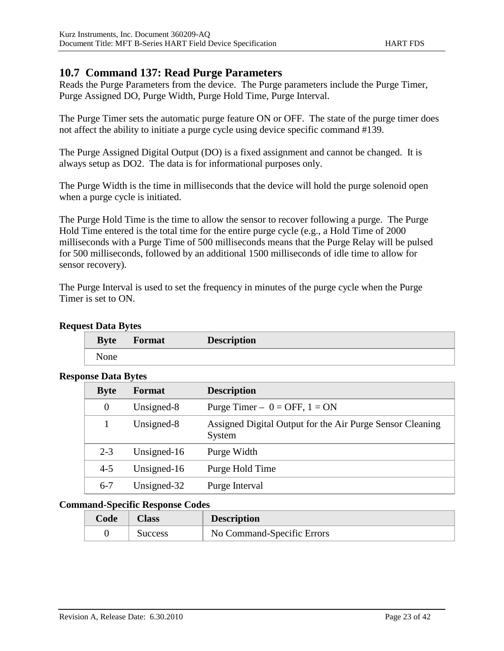### **10.7 Command 137: Read Purge Parameters**

Reads the Purge Parameters from the device. The Purge parameters include the Purge Timer, Purge Assigned DO, Purge Width, Purge Hold Time, Purge Interval.

The Purge Timer sets the automatic purge feature ON or OFF. The state of the purge timer does not affect the ability to initiate a purge cycle using device specific command #139.

The Purge Assigned Digital Output (DO) is a fixed assignment and cannot be changed. It is always setup as DO2. The data is for informational purposes only.

The Purge Width is the time in milliseconds that the device will hold the purge solenoid open when a purge cycle is initiated.

The Purge Hold Time is the time to allow the sensor to recover following a purge. The Purge Hold Time entered is the total time for the entire purge cycle (e.g., a Hold Time of 2000 milliseconds with a Purge Time of 500 milliseconds means that the Purge Relay will be pulsed for 500 milliseconds, followed by an additional 1500 milliseconds of idle time to allow for sensor recovery).

The Purge Interval is used to set the frequency in minutes of the purge cycle when the Purge Timer is set to ON.

| itst Data Dytts |        |                    |  |
|-----------------|--------|--------------------|--|
| <b>Byte</b>     | Format | <b>Description</b> |  |
| None            |        |                    |  |

#### **Request Data Bytes**

#### **Response Data Bytes**

| moc baaa by aco |             |                                                                     |
|-----------------|-------------|---------------------------------------------------------------------|
| <b>Byte</b>     | Format      | <b>Description</b>                                                  |
| $\theta$        | Unsigned-8  | Purge Timer – $0 =$ OFF, $1 =$ ON                                   |
|                 | Unsigned-8  | Assigned Digital Output for the Air Purge Sensor Cleaning<br>System |
| $2 - 3$         | Unsigned-16 | Purge Width                                                         |
| $4 - 5$         | Unsigned-16 | Purge Hold Time                                                     |
| $6 - 7$         | Unsigned-32 | Purge Interval                                                      |

| Code | Class   | <b>Description</b>         |
|------|---------|----------------------------|
|      | Success | No Command-Specific Errors |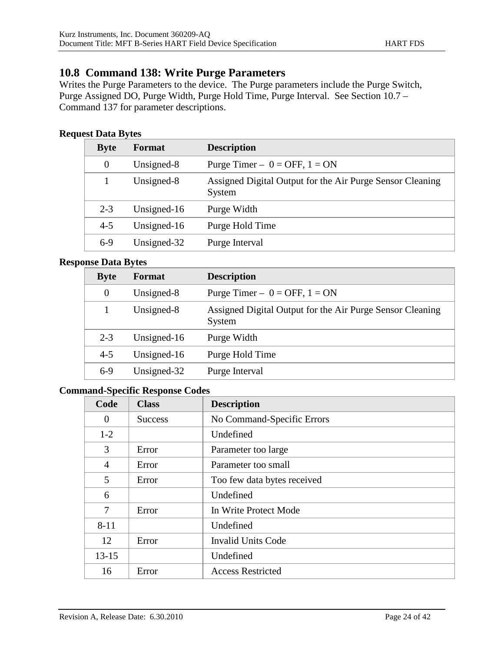## **10.8 Command 138: Write Purge Parameters**

Writes the Purge Parameters to the device. The Purge parameters include the Purge Switch, Purge Assigned DO, Purge Width, Purge Hold Time, Purge Interval. See Section 10.7 – Command 137 for parameter descriptions.

### **Request Data Bytes**

| <b>Byte</b> | Format      | <b>Description</b>                                                  |
|-------------|-------------|---------------------------------------------------------------------|
| $\theta$    | Unsigned-8  | Purge Timer $- 0 =$ OFF, $1 =$ ON                                   |
|             | Unsigned-8  | Assigned Digital Output for the Air Purge Sensor Cleaning<br>System |
| $2 - 3$     | Unsigned-16 | Purge Width                                                         |
| $4 - 5$     | Unsigned-16 | Purge Hold Time                                                     |
| $6-9$       | Unsigned-32 | Purge Interval                                                      |

#### **Response Data Bytes**

| <b>Byte</b>      | <b>Format</b> | <b>Description</b>                                                  |
|------------------|---------------|---------------------------------------------------------------------|
| $\boldsymbol{0}$ | Unsigned-8    | Purge Timer – $0 =$ OFF, $1 =$ ON                                   |
|                  | Unsigned-8    | Assigned Digital Output for the Air Purge Sensor Cleaning<br>System |
| $2 - 3$          | Unsigned-16   | Purge Width                                                         |
| $4 - 5$          | Unsigned-16   | Purge Hold Time                                                     |
| $6-9$            | Unsigned-32   | Purge Interval                                                      |

| Code           | <b>Class</b>   | <b>Description</b>          |
|----------------|----------------|-----------------------------|
| $\overline{0}$ | <b>Success</b> | No Command-Specific Errors  |
| $1-2$          |                | Undefined                   |
| 3              | Error          | Parameter too large         |
| $\overline{4}$ | Error          | Parameter too small         |
| 5              | Error          | Too few data bytes received |
| 6              |                | Undefined                   |
| 7              | Error          | In Write Protect Mode       |
| $8 - 11$       |                | Undefined                   |
| 12             | Error          | <b>Invalid Units Code</b>   |
| $13 - 15$      |                | Undefined                   |
| 16             | Error          | <b>Access Restricted</b>    |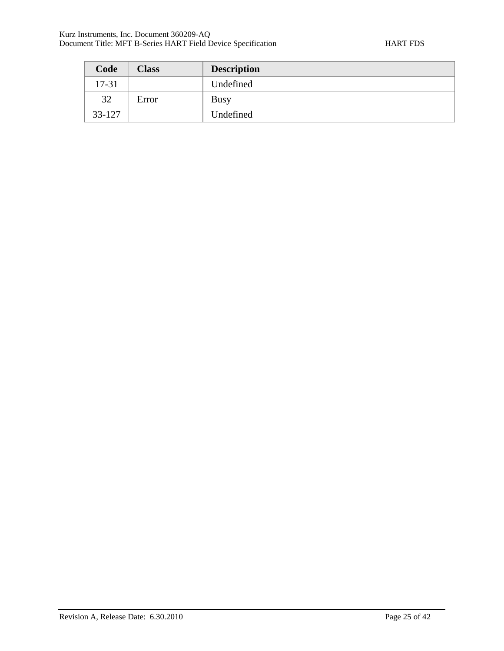| Code   | <b>Class</b> | <b>Description</b> |
|--------|--------------|--------------------|
| 17-31  |              | Undefined          |
| 32     | Error        | <b>Busy</b>        |
| 33-127 |              | Undefined          |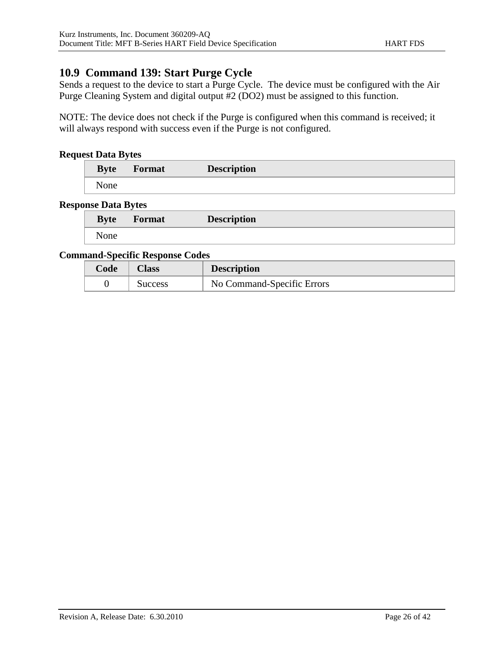## **10.9 Command 139: Start Purge Cycle**

Sends a request to the device to start a Purge Cycle. The device must be configured with the Air Purge Cleaning System and digital output #2 (DO2) must be assigned to this function.

NOTE: The device does not check if the Purge is configured when this command is received; it will always respond with success even if the Purge is not configured.

#### **Request Data Bytes**

| <b>Byte</b> | <b>Format</b> | <b>Description</b> |  |
|-------------|---------------|--------------------|--|
| None        |               |                    |  |

#### **Response Data Bytes**

| <b>Byte</b> | Format | <b>Description</b> |  |
|-------------|--------|--------------------|--|
| None        |        |                    |  |

| Code | <b>Class</b> | <b>Description</b>         |
|------|--------------|----------------------------|
|      | Success      | No Command-Specific Errors |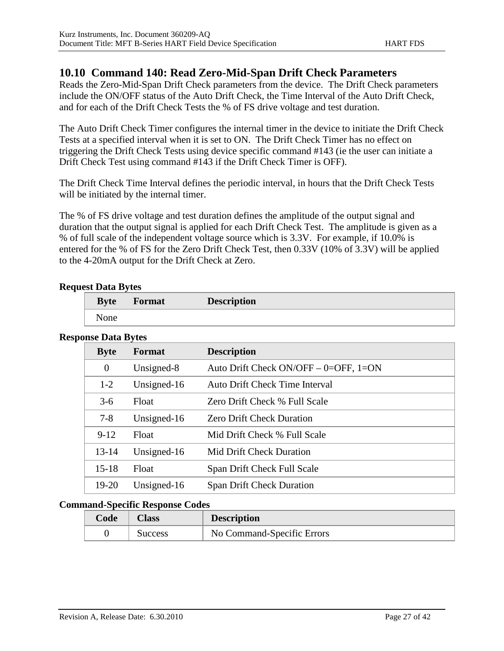### **10.10 Command 140: Read Zero-Mid-Span Drift Check Parameters**

Reads the Zero-Mid-Span Drift Check parameters from the device. The Drift Check parameters include the ON/OFF status of the Auto Drift Check, the Time Interval of the Auto Drift Check, and for each of the Drift Check Tests the % of FS drive voltage and test duration.

The Auto Drift Check Timer configures the internal timer in the device to initiate the Drift Check Tests at a specified interval when it is set to ON. The Drift Check Timer has no effect on triggering the Drift Check Tests using device specific command #143 (ie the user can initiate a Drift Check Test using command #143 if the Drift Check Timer is OFF).

The Drift Check Time Interval defines the periodic interval, in hours that the Drift Check Tests will be initiated by the internal timer.

The % of FS drive voltage and test duration defines the amplitude of the output signal and duration that the output signal is applied for each Drift Check Test. The amplitude is given as a % of full scale of the independent voltage source which is 3.3V. For example, if 10.0% is entered for the % of FS for the Zero Drift Check Test, then 0.33V (10% of 3.3V) will be applied to the 4-20mA output for the Drift Check at Zero.

#### **Request Data Bytes**

| <b>Byte</b> | <b>Format</b> | <b>Description</b> |  |
|-------------|---------------|--------------------|--|
| None        |               |                    |  |

#### **Response Data Bytes**

| <b>Byte</b>      | <b>Format</b> | <b>Description</b>                      |
|------------------|---------------|-----------------------------------------|
| $\boldsymbol{0}$ | Unsigned-8    | Auto Drift Check ON/OFF $-$ 0=OFF, 1=ON |
| $1-2$            | Unsigned-16   | <b>Auto Drift Check Time Interval</b>   |
| $3-6$            | Float         | Zero Drift Check % Full Scale           |
| $7 - 8$          | Unsigned-16   | <b>Zero Drift Check Duration</b>        |
| $9 - 12$         | Float         | Mid Drift Check % Full Scale            |
| $13 - 14$        | Unsigned-16   | <b>Mid Drift Check Duration</b>         |
| $15 - 18$        | Float         | Span Drift Check Full Scale             |
| $19-20$          | Unsigned-16   | <b>Span Drift Check Duration</b>        |

| Code | Class   | <b>Description</b>         |
|------|---------|----------------------------|
|      | Success | No Command-Specific Errors |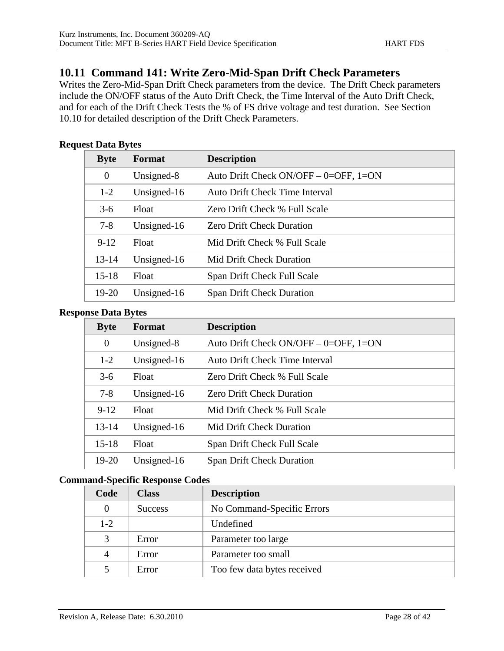### **10.11 Command 141: Write Zero-Mid-Span Drift Check Parameters**

Writes the Zero-Mid-Span Drift Check parameters from the device. The Drift Check parameters include the ON/OFF status of the Auto Drift Check, the Time Interval of the Auto Drift Check, and for each of the Drift Check Tests the % of FS drive voltage and test duration. See Section 10.10 for detailed description of the Drift Check Parameters.

#### **Request Data Bytes**

| <b>Byte</b>    | Format       | <b>Description</b>                      |
|----------------|--------------|-----------------------------------------|
| $\overline{0}$ | Unsigned-8   | Auto Drift Check ON/OFF $-$ 0=OFF, 1=ON |
| $1-2$          | Unsigned-16  | Auto Drift Check Time Interval          |
| $3-6$          | <b>Float</b> | Zero Drift Check % Full Scale           |
| $7 - 8$        | Unsigned-16  | <b>Zero Drift Check Duration</b>        |
| $9-12$         | <b>Float</b> | Mid Drift Check % Full Scale            |
| $13 - 14$      | Unsigned-16  | Mid Drift Check Duration                |
| $15 - 18$      | <b>Float</b> | Span Drift Check Full Scale             |
| 19-20          | Unsigned-16  | <b>Span Drift Check Duration</b>        |

#### **Response Data Bytes**

| <b>Byte</b>    | Format      | <b>Description</b>                      |
|----------------|-------------|-----------------------------------------|
| $\overline{0}$ | Unsigned-8  | Auto Drift Check ON/OFF $-$ 0=OFF, 1=ON |
| $1 - 2$        | Unsigned-16 | Auto Drift Check Time Interval          |
| $3-6$          | Float       | Zero Drift Check % Full Scale           |
| $7 - 8$        | Unsigned-16 | <b>Zero Drift Check Duration</b>        |
| $9 - 12$       | Float       | Mid Drift Check % Full Scale            |
| $13 - 14$      | Unsigned-16 | Mid Drift Check Duration                |
| $15 - 18$      | Float       | Span Drift Check Full Scale             |
| $19 - 20$      | Unsigned-16 | <b>Span Drift Check Duration</b>        |

| Code    | <b>Class</b>   | <b>Description</b>          |
|---------|----------------|-----------------------------|
|         | <b>Success</b> | No Command-Specific Errors  |
| $1 - 2$ |                | Undefined                   |
| 3       | Error          | Parameter too large         |
| 4       | Error          | Parameter too small         |
|         | Error          | Too few data bytes received |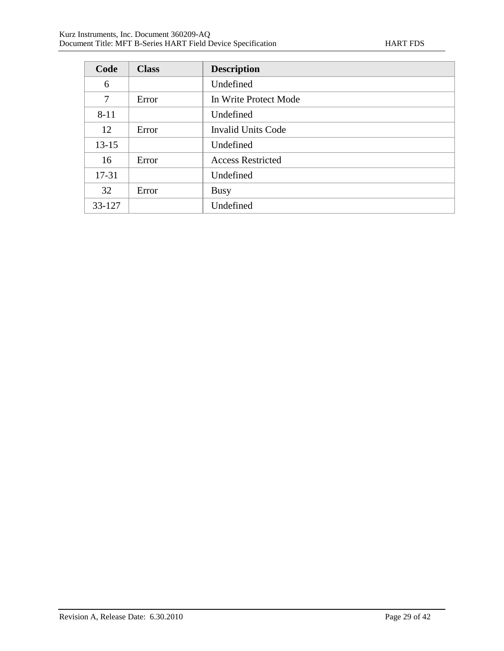| Code           | <b>Class</b> | <b>Description</b>        |
|----------------|--------------|---------------------------|
| 6              |              | Undefined                 |
| $\overline{7}$ | Error        | In Write Protect Mode     |
| $8 - 11$       |              | Undefined                 |
| 12             | Error        | <b>Invalid Units Code</b> |
| $13 - 15$      |              | Undefined                 |
| 16             | Error        | <b>Access Restricted</b>  |
| 17-31          |              | Undefined                 |
| 32             | Error        | <b>Busy</b>               |
| 33-127         |              | Undefined                 |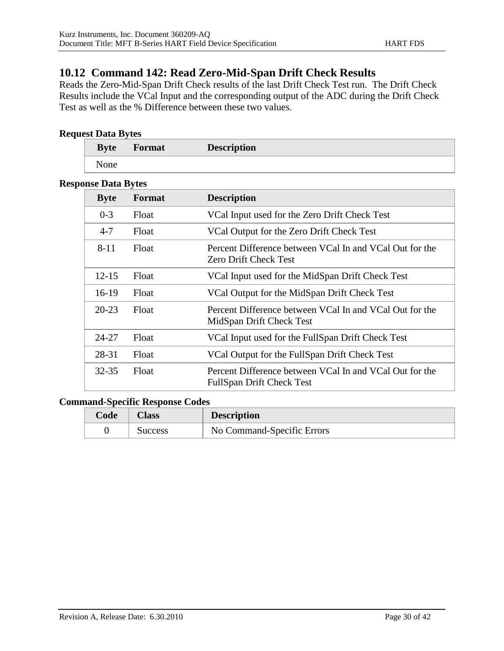## **10.12 Command 142: Read Zero-Mid-Span Drift Check Results**

Reads the Zero-Mid-Span Drift Check results of the last Drift Check Test run. The Drift Check Results include the VCal Input and the corresponding output of the ADC during the Drift Check Test as well as the % Difference between these two values.

### **Request Data Bytes**

| <b>Byte</b> | Format | <b>Description</b> |  |
|-------------|--------|--------------------|--|
| None        |        |                    |  |

#### **Response Data Bytes**

| <b>Byte</b> | Format | <b>Description</b>                                                                          |
|-------------|--------|---------------------------------------------------------------------------------------------|
| $0 - 3$     | Float  | VCal Input used for the Zero Drift Check Test                                               |
| $4 - 7$     | Float  | VCal Output for the Zero Drift Check Test                                                   |
| $8 - 11$    | Float  | Percent Difference between VCal In and VCal Out for the<br><b>Zero Drift Check Test</b>     |
| $12 - 15$   | Float  | VCal Input used for the MidSpan Drift Check Test                                            |
| $16-19$     | Float  | VCal Output for the MidSpan Drift Check Test                                                |
| $20 - 23$   | Float  | Percent Difference between VCal In and VCal Out for the<br>MidSpan Drift Check Test         |
| $24 - 27$   | Float  | VCal Input used for the FullSpan Drift Check Test                                           |
| 28-31       | Float  | VCal Output for the FullSpan Drift Check Test                                               |
| $32 - 35$   | Float  | Percent Difference between VCal In and VCal Out for the<br><b>FullSpan Drift Check Test</b> |

| $\mathcal{L}$ ode | Aass           | <b>Description</b>         |
|-------------------|----------------|----------------------------|
|                   | <b>Success</b> | No Command-Specific Errors |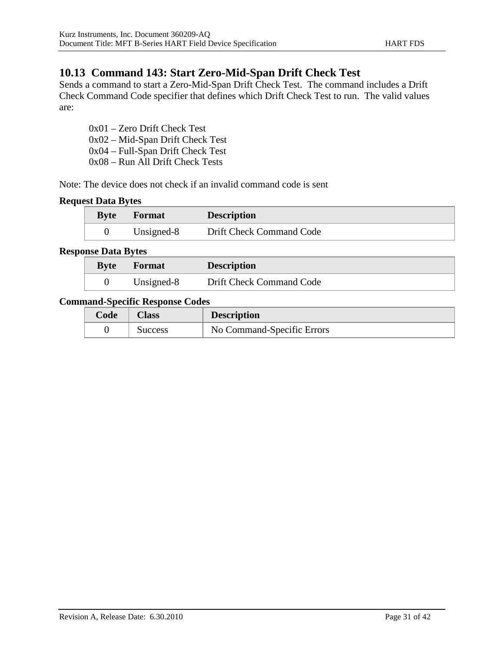## **10.13 Command 143: Start Zero-Mid-Span Drift Check Test**

Sends a command to start a Zero-Mid-Span Drift Check Test. The command includes a Drift Check Command Code specifier that defines which Drift Check Test to run. The valid values are:

0x01 – Zero Drift Check Test 0x02 – Mid-Span Drift Check Test 0x04 – Full-Span Drift Check Test 0x08 – Run All Drift Check Tests

Note: The device does not check if an invalid command code is sent

#### **Request Data Bytes**

| <b>Byte</b> | <b>Format</b> | <b>Description</b>       |
|-------------|---------------|--------------------------|
|             | Unsigned-8    | Drift Check Command Code |

#### **Response Data Bytes**

| <b>Byte</b> | Format     | <b>Description</b>       |
|-------------|------------|--------------------------|
|             | Unsigned-8 | Drift Check Command Code |

| Code | Alass   | <b>Description</b>         |
|------|---------|----------------------------|
|      | Success | No Command-Specific Errors |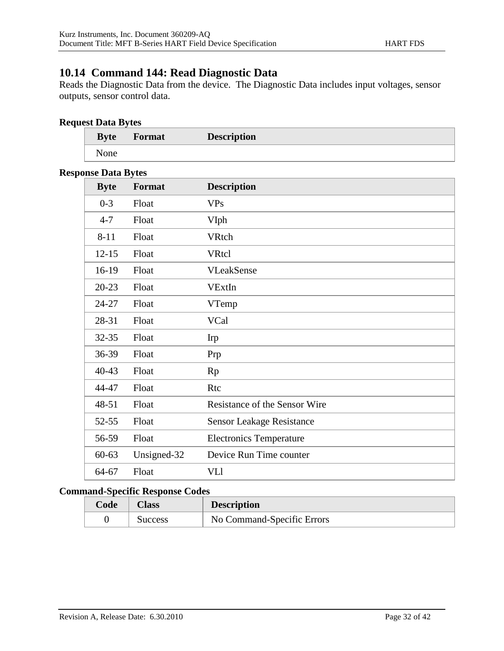# **10.14 Command 144: Read Diagnostic Data**

Reads the Diagnostic Data from the device. The Diagnostic Data includes input voltages, sensor outputs, sensor control data.

#### **Request Data Bytes**

| <b>Byte</b> | Format | <b>Description</b> |
|-------------|--------|--------------------|
| <b>None</b> |        |                    |

#### **Response Data Bytes**

| <b>Byte</b> | Format      | <b>Description</b>               |
|-------------|-------------|----------------------------------|
| $0 - 3$     | Float       | <b>VPs</b>                       |
| $4 - 7$     | Float       | <b>VIph</b>                      |
| $8 - 11$    | Float       | VRtch                            |
| $12 - 15$   | Float       | <b>VRtcl</b>                     |
| 16-19       | Float       | <b>VLeakSense</b>                |
| $20 - 23$   | Float       | VExtIn                           |
| 24-27       | Float       | VTemp                            |
| 28-31       | Float       | VCal                             |
| 32-35       | Float       | <b>Irp</b>                       |
| 36-39       | Float       | Prp                              |
| 40-43       | Float       | Rp                               |
| 44-47       | Float       | Rtc                              |
| 48-51       | Float       | Resistance of the Sensor Wire    |
| $52 - 55$   | Float       | <b>Sensor Leakage Resistance</b> |
| 56-59       | Float       | <b>Electronics Temperature</b>   |
| $60 - 63$   | Unsigned-32 | Device Run Time counter          |
| 64-67       | Float       | VLl                              |

| Code | <b>Class</b> | <b>Description</b>         |
|------|--------------|----------------------------|
|      | Success      | No Command-Specific Errors |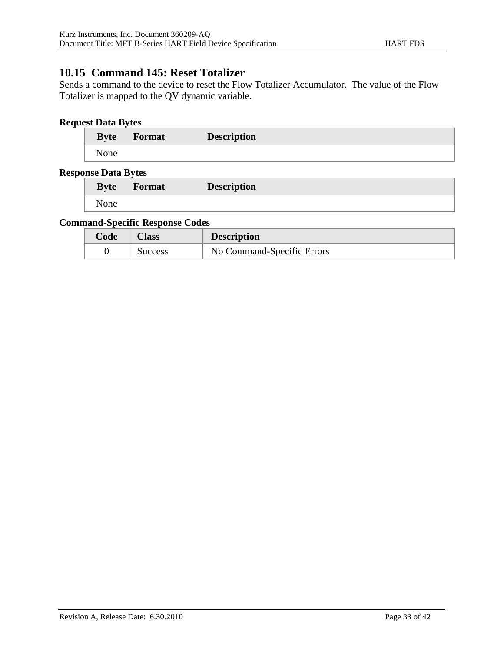## **10.15 Command 145: Reset Totalizer**

Sends a command to the device to reset the Flow Totalizer Accumulator. The value of the Flow Totalizer is mapped to the QV dynamic variable.

### **Request Data Bytes**

| <b>Byte</b> | Format | <b>Description</b> |
|-------------|--------|--------------------|
| None        |        |                    |

#### **Response Data Bytes**

| .<br><b>Byte</b> | Format | <b>Description</b> |
|------------------|--------|--------------------|
| None             |        |                    |

| <i><b>Code</b></i> | Class   | <b>Description</b>         |
|--------------------|---------|----------------------------|
|                    | Success | No Command-Specific Errors |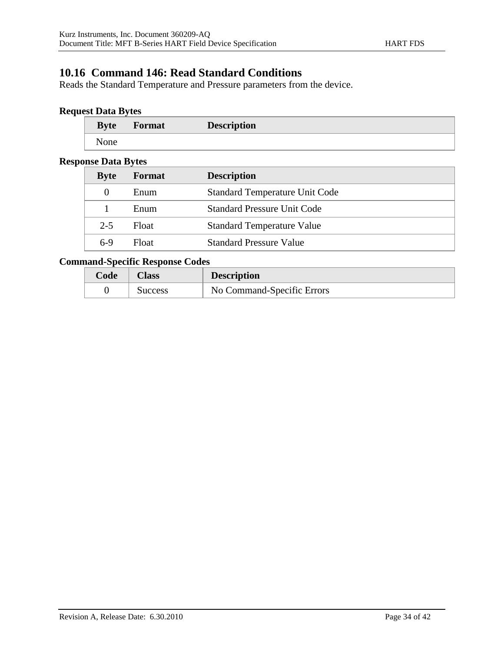## **10.16 Command 146: Read Standard Conditions**

Reads the Standard Temperature and Pressure parameters from the device.

### **Request Data Bytes**

| <b>Byte</b> | Format | <b>Description</b> |
|-------------|--------|--------------------|
| None        |        |                    |

#### **Response Data Bytes**

| moc Dum Dyno |        |                                       |
|--------------|--------|---------------------------------------|
| <b>Byte</b>  | Format | <b>Description</b>                    |
| $\theta$     | Enum   | <b>Standard Temperature Unit Code</b> |
|              | Enum   | <b>Standard Pressure Unit Code</b>    |
| $2 - 5$      | Float  | <b>Standard Temperature Value</b>     |
| $6-9$        | Float  | <b>Standard Pressure Value</b>        |

| Code | Alass   | <b>Description</b>         |
|------|---------|----------------------------|
|      | Success | No Command-Specific Errors |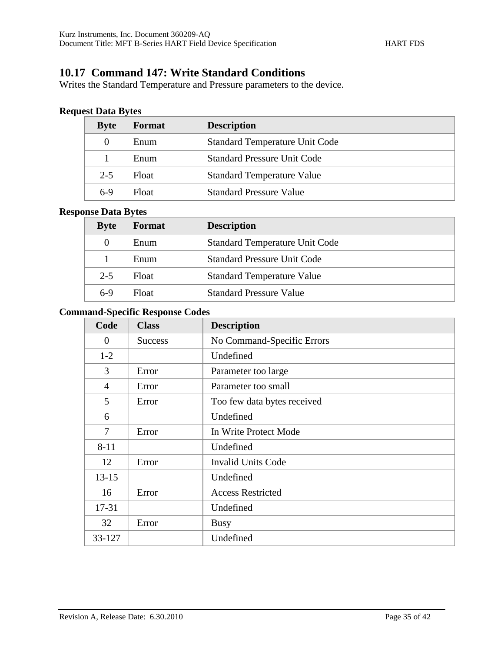## **10.17 Command 147: Write Standard Conditions**

Writes the Standard Temperature and Pressure parameters to the device.

### **Request Data Bytes**

| <b>Byte</b> | Format | <b>Description</b>                    |
|-------------|--------|---------------------------------------|
| $\theta$    | Enum   | <b>Standard Temperature Unit Code</b> |
|             | Enum   | <b>Standard Pressure Unit Code</b>    |
| $2 - 5$     | Float  | <b>Standard Temperature Value</b>     |
| $6-9$       | Float  | <b>Standard Pressure Value</b>        |

#### **Response Data Bytes**

| <b>Byte</b> | Format | <b>Description</b>                    |
|-------------|--------|---------------------------------------|
| $\theta$    | Enum   | <b>Standard Temperature Unit Code</b> |
|             | Enum   | <b>Standard Pressure Unit Code</b>    |
| $2 - 5$     | Float  | <b>Standard Temperature Value</b>     |
| $6-9$       | Float  | <b>Standard Pressure Value</b>        |

| Code             | <b>Class</b>   | <b>Description</b>          |
|------------------|----------------|-----------------------------|
| $\boldsymbol{0}$ | <b>Success</b> | No Command-Specific Errors  |
| $1-2$            |                | Undefined                   |
| 3                | Error          | Parameter too large         |
| 4                | Error          | Parameter too small         |
| 5                | Error          | Too few data bytes received |
| 6                |                | Undefined                   |
| 7                | Error          | In Write Protect Mode       |
| $8 - 11$         |                | Undefined                   |
| 12               | Error          | <b>Invalid Units Code</b>   |
| $13 - 15$        |                | Undefined                   |
| 16               | Error          | <b>Access Restricted</b>    |
| 17-31            |                | Undefined                   |
| 32               | Error          | <b>Busy</b>                 |
| 33-127           |                | Undefined                   |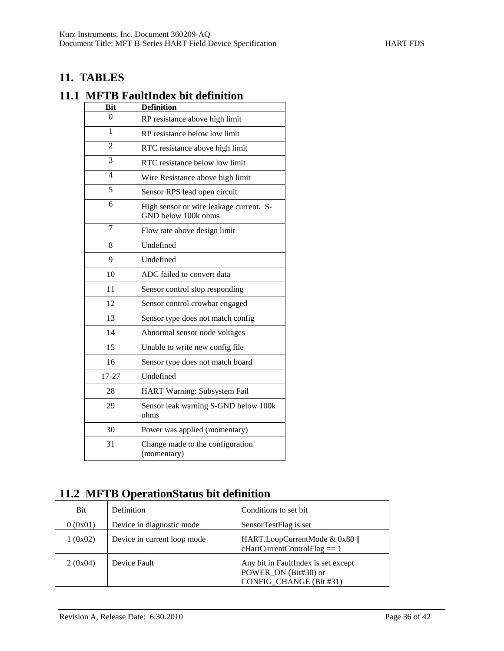## **11. TABLES**

## **11.1 MFTB FaultIndex bit definition**

| <b>Bit</b>               | <b>Definition</b>                                              |
|--------------------------|----------------------------------------------------------------|
| $\theta$                 | RP resistance above high limit                                 |
| 1                        | RP resistance below low limit                                  |
| $\overline{2}$           | RTC resistance above high limit                                |
| 3                        | RTC resistance below low limit                                 |
| $\overline{\mathcal{L}}$ | Wire Resistance above high limit                               |
| $\overline{5}$           | Sensor RPS lead open circuit                                   |
| 6                        | High sensor or wire leakage current. S-<br>GND below 100k ohms |
| $\overline{7}$           | Flow rate above design limit                                   |
| 8                        | Undefined                                                      |
| 9                        | Undefined                                                      |
| 10                       | ADC failed to convert data                                     |
| 11                       | Sensor control stop responding                                 |
| 12                       | Sensor control crowbar engaged                                 |
| 13                       | Sensor type does not match config                              |
| 14                       | Abnormal sensor node voltages                                  |
| 15                       | Unable to write new config file                                |
| 16                       | Sensor type does not match board                               |
| 17-27                    | Undefined                                                      |
| 28                       | HART Warning: Subsystem Fail                                   |
| 29                       | Sensor leak warning S-GND below 100k<br>ohms                   |
| 30                       | Power was applied (momentary)                                  |
| 31                       | Change made to the configuration<br>(momentary)                |

# **11.2 MFTB OperationStatus bit definition**

| <b>Bit</b> | Definition                  | Conditions to set bit.                                                                 |
|------------|-----------------------------|----------------------------------------------------------------------------------------|
| 0(0x01)    | Device in diagnostic mode   | SensorTestFlag is set                                                                  |
| 1(0x02)    | Device in current loop mode | HART.LoopCurrentMode & 0x80<br>$cHartCurrentControlFlag = 1$                           |
| 2(0x04)    | Device Fault                | Any bit in FaultIndex is set except<br>POWER_ON (Bit#30) or<br>CONFIG CHANGE (Bit #31) |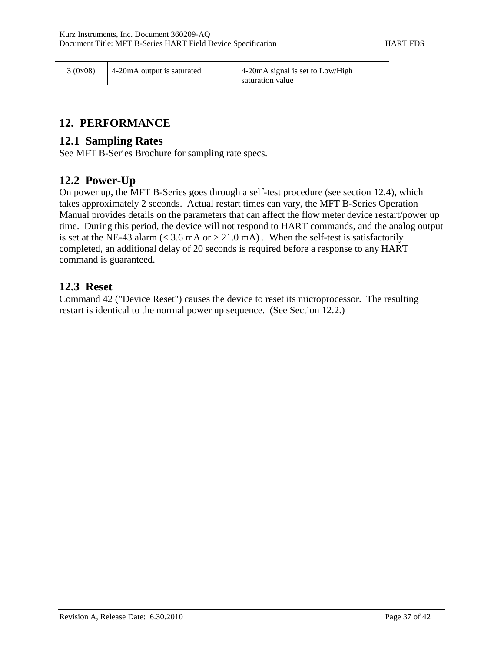| 3(0x08) | 4-20 mA output is saturated | $\vert$ 4-20 mA signal is set to Low/High<br>saturation value |
|---------|-----------------------------|---------------------------------------------------------------|
|---------|-----------------------------|---------------------------------------------------------------|

## **12. PERFORMANCE**

### **12.1 Sampling Rates**

See MFT B-Series Brochure for sampling rate specs.

### **12.2 Power-Up**

On power up, the MFT B-Series goes through a self-test procedure (see section 12.4), which takes approximately 2 seconds. Actual restart times can vary, the MFT B-Series Operation Manual provides details on the parameters that can affect the flow meter device restart/power up time. During this period, the device will not respond to HART commands, and the analog output is set at the NE-43 alarm ( $\lt$  3.6 mA or  $>$  21.0 mA). When the self-test is satisfactorily completed, an additional delay of 20 seconds is required before a response to any HART command is guaranteed.

### **12.3 Reset**

Command 42 ("Device Reset") causes the device to reset its microprocessor. The resulting restart is identical to the normal power up sequence. (See Section 12.2.)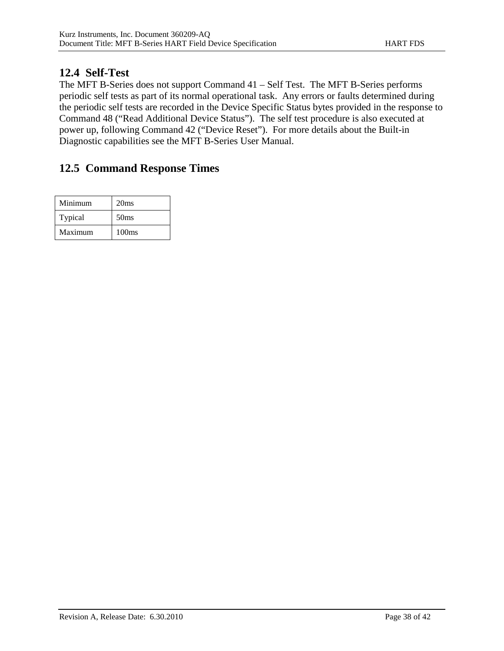## **12.4 Self-Test**

The MFT B-Series does not support Command 41 – Self Test. The MFT B-Series performs periodic self tests as part of its normal operational task. Any errors or faults determined during the periodic self tests are recorded in the Device Specific Status bytes provided in the response to Command 48 ("Read Additional Device Status"). The self test procedure is also executed at power up, following Command 42 ("Device Reset"). For more details about the Built-in Diagnostic capabilities see the MFT B-Series User Manual.

# **12.5 Command Response Times**

| Minimum | 20ms              |
|---------|-------------------|
| Typical | 50 <sub>ms</sub>  |
| Maximum | 100 <sub>ms</sub> |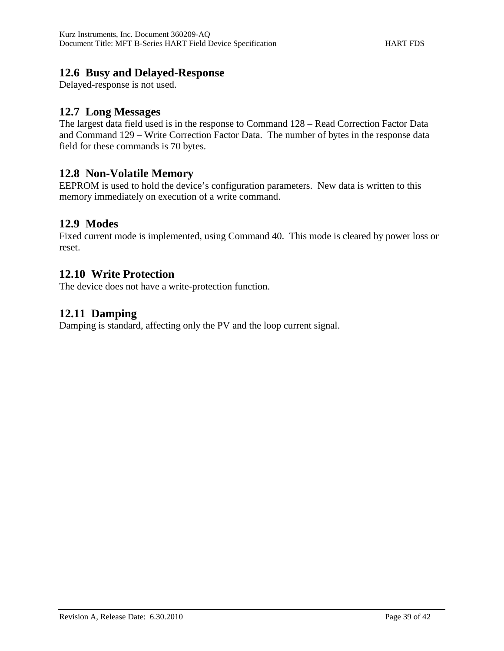### **12.6 Busy and Delayed-Response**

Delayed-response is not used.

## **12.7 Long Messages**

The largest data field used is in the response to Command 128 – Read Correction Factor Data and Command 129 – Write Correction Factor Data. The number of bytes in the response data field for these commands is 70 bytes.

### **12.8 Non-Volatile Memory**

EEPROM is used to hold the device's configuration parameters. New data is written to this memory immediately on execution of a write command.

### **12.9 Modes**

Fixed current mode is implemented, using Command 40. This mode is cleared by power loss or reset.

### **12.10 Write Protection**

The device does not have a write-protection function.

## **12.11 Damping**

Damping is standard, affecting only the PV and the loop current signal.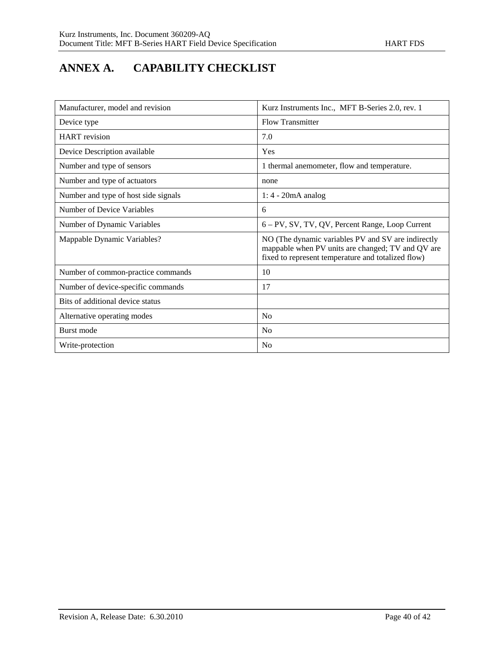# **ANNEX A. CAPABILITY CHECKLIST**

| Manufacturer, model and revision     | Kurz Instruments Inc., MFT B-Series 2.0, rev. 1                                                                                                               |
|--------------------------------------|---------------------------------------------------------------------------------------------------------------------------------------------------------------|
| Device type                          | <b>Flow Transmitter</b>                                                                                                                                       |
| <b>HART</b> revision                 | 7.0                                                                                                                                                           |
| Device Description available         | Yes                                                                                                                                                           |
| Number and type of sensors           | 1 thermal anemometer, flow and temperature.                                                                                                                   |
| Number and type of actuators         | none                                                                                                                                                          |
| Number and type of host side signals | $1:4 - 20mA$ analog                                                                                                                                           |
| Number of Device Variables           | 6                                                                                                                                                             |
| Number of Dynamic Variables          | 6 – PV, SV, TV, QV, Percent Range, Loop Current                                                                                                               |
| Mappable Dynamic Variables?          | NO (The dynamic variables PV and SV are indirectly<br>mappable when PV units are changed; TV and QV are<br>fixed to represent temperature and totalized flow) |
| Number of common-practice commands   | 10                                                                                                                                                            |
| Number of device-specific commands   | 17                                                                                                                                                            |
| Bits of additional device status     |                                                                                                                                                               |
| Alternative operating modes          | N <sub>0</sub>                                                                                                                                                |
| Burst mode                           | N <sub>o</sub>                                                                                                                                                |
| Write-protection                     | N <sub>0</sub>                                                                                                                                                |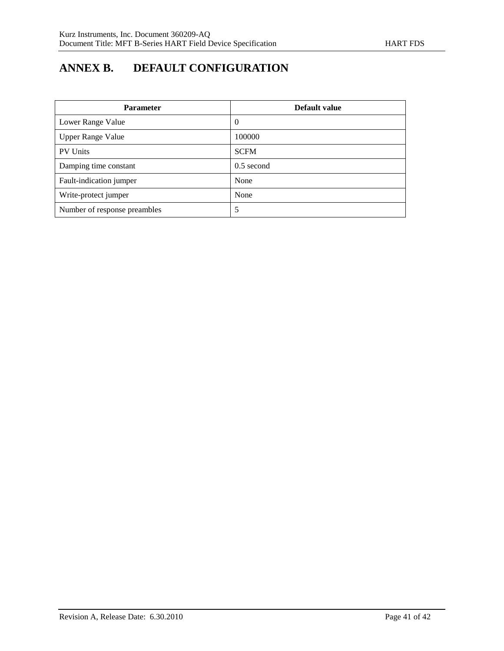# **ANNEX B. DEFAULT CONFIGURATION**

| <b>Parameter</b>             | Default value  |
|------------------------------|----------------|
| Lower Range Value            | $\overline{0}$ |
| <b>Upper Range Value</b>     | 100000         |
| <b>PV Units</b>              | <b>SCFM</b>    |
| Damping time constant        | $0.5$ second   |
| Fault-indication jumper      | None           |
| Write-protect jumper         | None           |
| Number of response preambles | 5              |